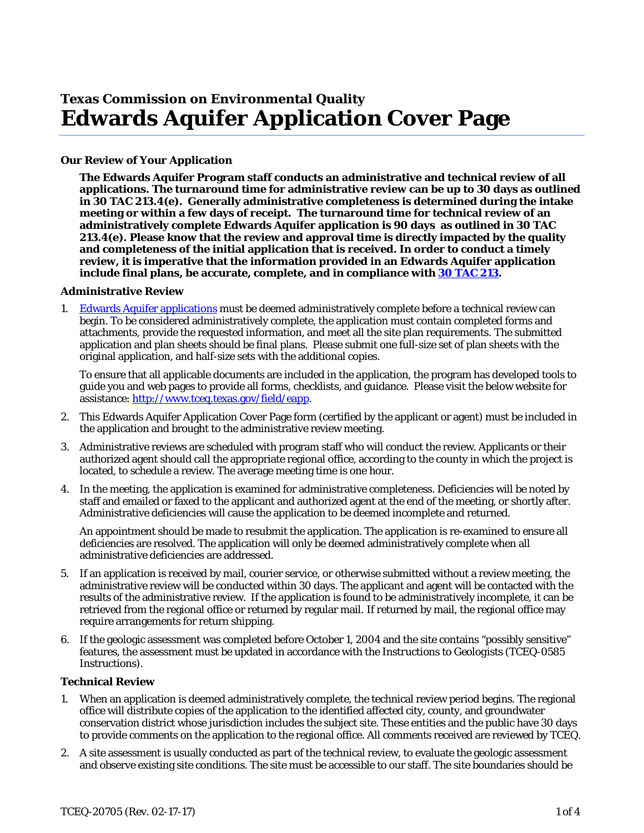# **Texas Commission on Environmental Quality Edwards Aquifer Application Cover Page**

## **Our Review of Your Application**

**The Edwards Aquifer Program staff conducts an administrative and technical review of all applications. The turnaround time for administrative review can be up to 30 days as outlined in 30 TAC 213.4(e). Generally administrative completeness is determined during the intake meeting or within a few days of receipt. The turnaround time for technical review of an administratively complete Edwards Aquifer application is 90 days as outlined in 30 TAC 213.4(e). Please know that the review and approval time is directly impacted by the quality and completeness of the initial application that is received. In order to conduct a timely review, it is imperative that the information provided in an Edwards Aquifer application include final plans, be accurate, complete, and in compliance wit[h 30 TAC 213.](http://texreg.sos.state.tx.us/public/readtac$ext.ViewTAC?tac_view=4&ti=30&pt=1&ch=213)**

#### **Administrative Review**

1. [Edwards Aquifer applications](http://www.tceq.texas.gov/field/eapp/apps.html) must be deemed administratively complete before a technical review can begin. To be considered administratively complete, the application must contain completed forms and attachments, provide the requested information, and meet all the site plan requirements. The submitted application and plan sheets should be final plans. Please submit one full-size set of plan sheets with the original application, and half-size sets with the additional copies.

To ensure that all applicable documents are included in the application, the program has developed tools to guide you and web pages to provide all forms, checklists, and guidance. Please visit the below website for assistance: [http://www.tceq.texas.gov/field/eapp.](http://www.tceq.texas.gov/goto/eapp-plan)

- 2. This Edwards Aquifer Application Cover Page form (certified by the applicant or agent) must be included in the application and brought to the administrative review meeting.
- 3. Administrative reviews are scheduled with program staff who will conduct the review. Applicants or their authorized agent should call the appropriate regional office, according to the county in which the project is located, to schedule a review. The average meeting time is one hour.
- 4. In the meeting, the application is examined for administrative completeness. Deficiencies will be noted by staff and emailed or faxed to the applicant and authorized agent at the end of the meeting, or shortly after. Administrative deficiencies will cause the application to be deemed incomplete and returned.

An appointment should be made to resubmit the application. The application is re-examined to ensure all deficiencies are resolved. The application will only be deemed administratively complete when all administrative deficiencies are addressed.

- 5. If an application is received by mail, courier service, or otherwise submitted without a review meeting, the administrative review will be conducted within 30 days. The applicant and agent will be contacted with the results of the administrative review. If the application is found to be administratively incomplete, it can be retrieved from the regional office or returned by regular mail. If returned by mail, the regional office may require arrangements for return shipping.
- 6. If the geologic assessment was completed before October 1, 2004 and the site contains "possibly sensitive" features, the assessment must be updated in accordance with the *Instructions to Geologists* (TCEQ-0585 Instructions).

#### **Technical Review**

- 1. When an application is deemed administratively complete, the technical review period begins. The regional office will distribute copies of the application to the identified affected city, county, and groundwater conservation district whose jurisdiction includes the subject site. These entities and the public have 30 days to provide comments on the application to the regional office. All comments received are reviewed by TCEQ.
- 2. A site assessment is usually conducted as part of the technical review, to evaluate the geologic assessment and observe existing site conditions. The site must be accessible to our staff. The site boundaries should be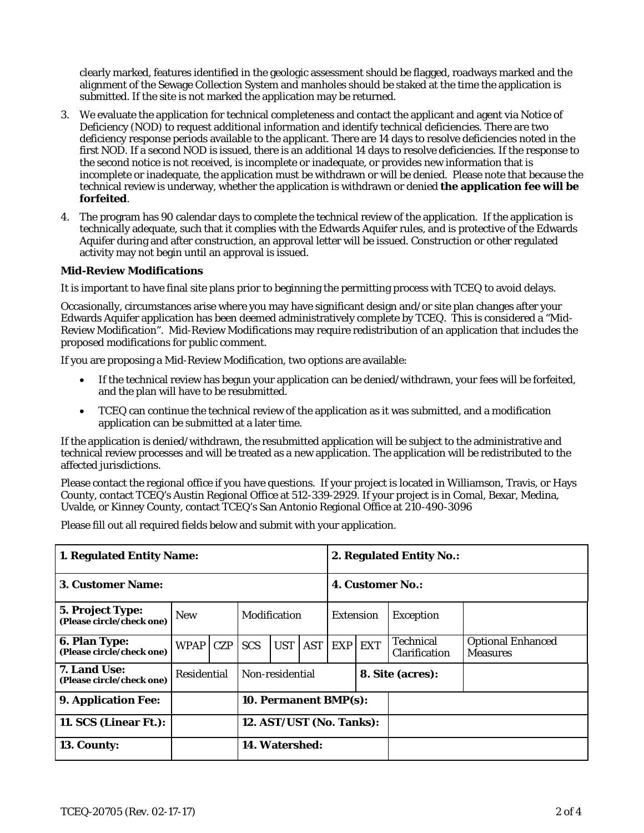clearly marked, features identified in the geologic assessment should be flagged, roadways marked and the alignment of the Sewage Collection System and manholes should be staked at the time the application is submitted. If the site is not marked the application may be returned.

- 3. We evaluate the application for technical completeness and contact the applicant and agent via Notice of Deficiency (NOD) to request additional information and identify technical deficiencies. There are two deficiency response periods available to the applicant. There are 14 days to resolve deficiencies noted in the first NOD. If a second NOD is issued, there is an additional 14 days to resolve deficiencies. If the response to the second notice is not received, is incomplete or inadequate, or provides new information that is incomplete or inadequate, the application must be withdrawn or will be denied. Please note that because the technical review is underway, whether the application is withdrawn or denied **the application fee will be forfeited**.
- 4. The program has 90 calendar days to complete the technical review of the application. If the application is technically adequate, such that it complies with the Edwards Aquifer rules, and is protective of the Edwards Aquifer during and after construction, an approval letter will be issued. Construction or other regulated activity may not begin until an approval is issued.

## **Mid-Review Modifications**

It is important to have final site plans prior to beginning the permitting process with TCEQ to avoid delays.

Occasionally, circumstances arise where you may have significant design and/or site plan changes after your Edwards Aquifer application has been deemed administratively complete by TCEQ. This is considered a "Mid-Review Modification". Mid-Review Modifications may require redistribution of an application that includes the proposed modifications for public comment.

If you are proposing a Mid-Review Modification, two options are available:

- If the technical review has begun your application can be denied/withdrawn, your fees will be forfeited, and the plan will have to be resubmitted.
- TCEQ can continue the technical review of the application as it was submitted, and a modification application can be submitted at a later time.

If the application is denied/withdrawn, the resubmitted application will be subject to the administrative and technical review processes and will be treated as a new application. The application will be redistributed to the affected jurisdictions.

Please contact the regional office if you have questions. If your project is located in Williamson, Travis, or Hays County, contact TCEQ's Austin Regional Office at 512-339-2929. If your project is in Comal, Bexar, Medina, Uvalde, or Kinney County, contact TCEQ's San Antonio Regional Office at 210-490-3096

Please fill out all required fields below and submit with your application.

| 1. Regulated Entity Name:                         |                    |            |                          | 2. Regulated Entity No.: |                  |                  |                  |                            |                                             |
|---------------------------------------------------|--------------------|------------|--------------------------|--------------------------|------------------|------------------|------------------|----------------------------|---------------------------------------------|
| 3. Customer Name:                                 |                    |            |                          | <b>4. Customer No.:</b>  |                  |                  |                  |                            |                                             |
| 5. Project Type:<br>(Please circle/check one)     | <b>New</b>         |            | Modification             |                          | <b>Extension</b> |                  | <b>Exception</b> |                            |                                             |
| <b>6. Plan Type:</b><br>(Please circle/check one) | <b>WPAP</b>        | <b>CZP</b> | <b>SCS</b>               | <b>UST</b>               | <b>AST</b>       | <b>EXP</b>       | <b>EXT</b>       | Technical<br>Clarification | <b>Optional Enhanced</b><br><b>Measures</b> |
| 7. Land Use:<br>(Please circle/check one)         | <b>Residential</b> |            | Non-residential          |                          |                  | 8. Site (acres): |                  |                            |                                             |
| 9. Application Fee:                               |                    |            | 10. Permanent BMP(s):    |                          |                  |                  |                  |                            |                                             |
| 11. SCS (Linear Ft.):                             |                    |            | 12. AST/UST (No. Tanks): |                          |                  |                  |                  |                            |                                             |
| 13. County:                                       |                    |            | 14. Watershed:           |                          |                  |                  |                  |                            |                                             |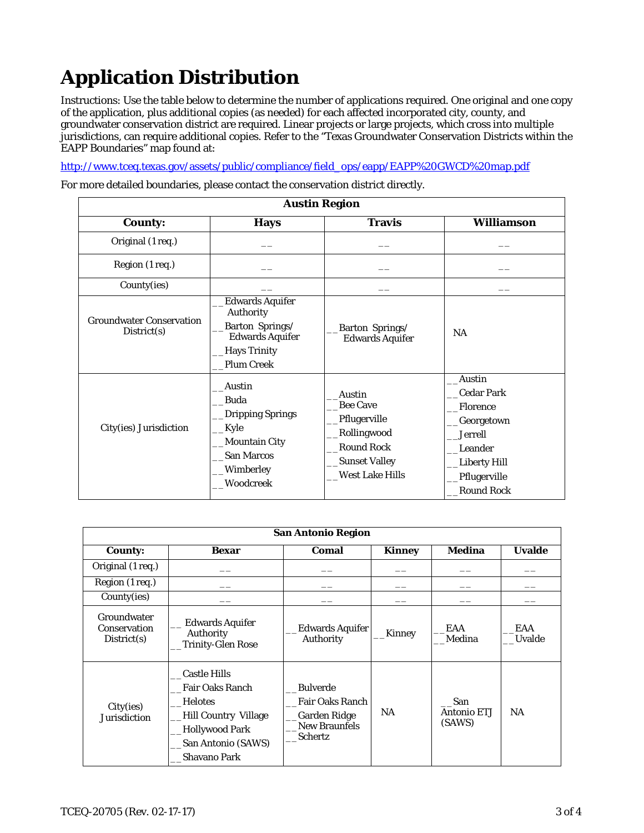# **Application Distribution**

Instructions: Use the table below to determine the number of applications required. One original and one copy of the application, plus additional copies (as needed) for each affected incorporated city, county, and groundwater conservation district are required. Linear projects or large projects, which cross into multiple jurisdictions, can require additional copies. Refer to the "Texas Groundwater Conservation Districts within the EAPP Boundaries" map found at:

[http://www.tceq.texas.gov/assets/public/compliance/field\\_ops/eapp/EAPP%20GWCD%20map.pdf](http://www.tceq.texas.gov/assets/public/compliance/field_ops/eapp/EAPP%20GWCD%20map.pdf)

For more detailed boundaries, please contact the conservation district directly.

| <b>Austin Region</b>                           |                                                                                                                                |                                                                                                                                        |                                                                                                                                                |  |  |
|------------------------------------------------|--------------------------------------------------------------------------------------------------------------------------------|----------------------------------------------------------------------------------------------------------------------------------------|------------------------------------------------------------------------------------------------------------------------------------------------|--|--|
| <b>County:</b>                                 | <b>Hays</b>                                                                                                                    | <b>Travis</b>                                                                                                                          | <b>Williamson</b>                                                                                                                              |  |  |
| Original (1 req.)                              |                                                                                                                                |                                                                                                                                        |                                                                                                                                                |  |  |
| Region (1 req.)                                |                                                                                                                                |                                                                                                                                        |                                                                                                                                                |  |  |
| County(ies)                                    |                                                                                                                                |                                                                                                                                        |                                                                                                                                                |  |  |
| <b>Groundwater Conservation</b><br>District(s) | <b>Edwards Aquifer</b><br>Authority<br>Barton Springs/<br><b>Edwards Aquifer</b><br>Hays Trinity<br><b>Plum Creek</b>          | Barton Springs/<br><b>Edwards Aquifer</b>                                                                                              | NA                                                                                                                                             |  |  |
| City(ies) Jurisdiction                         | Austin<br>Buda<br>Dripping Springs<br><b>Kyle</b><br>Mountain City <sub>.</sub><br><b>San Marcos</b><br>Wimberley<br>Woodcreek | Austin<br><b>Bee Cave</b><br>Pflugerville<br><b>Rollingwood</b><br><b>Round Rock</b><br><b>Sunset Valley</b><br><b>West Lake Hills</b> | Austin<br><b>Cedar Park</b><br>Florence<br>Georgetown<br><b>Jerrell</b><br>Leander<br><b>Liberty Hill</b><br>Pflugerville<br><b>Round Rock</b> |  |  |

| <b>San Antonio Region</b>                  |                                                                                                                                                        |                                                                                                     |               |                              |               |  |
|--------------------------------------------|--------------------------------------------------------------------------------------------------------------------------------------------------------|-----------------------------------------------------------------------------------------------------|---------------|------------------------------|---------------|--|
| <b>County:</b>                             | <b>Bexar</b>                                                                                                                                           | Comal                                                                                               | <b>Kinney</b> | <b>Medina</b>                | <b>Uvalde</b> |  |
| Original (1 req.)                          |                                                                                                                                                        |                                                                                                     |               |                              |               |  |
| Region (1 req.)                            |                                                                                                                                                        |                                                                                                     |               |                              |               |  |
| County(ies)                                |                                                                                                                                                        |                                                                                                     |               |                              |               |  |
| Groundwater<br>Conservation<br>Distribt(s) | <b>Edwards Aquifer</b><br>Authority<br>Trinity-Glen Rose                                                                                               | <b>Edwards Aquifer</b><br>Authority                                                                 | Kinney        | EAA<br>Medina                | EAA<br>Uvalde |  |
| City(ies)<br>Jurisdiction                  | <b>Castle Hills</b><br><b>Fair Oaks Ranch</b><br><b>Helotes</b><br>Hill Country Village<br><b>Hollywood Park</b><br>San Antonio (SAWS)<br>Shavano Park | <b>Bulverde</b><br>Fair Oaks Ranch<br><b>Garden Ridge</b><br><b>New Braunfels</b><br><b>Schertz</b> | <b>NA</b>     | San<br>Antonio ETJ<br>(SAWS) | <b>NA</b>     |  |